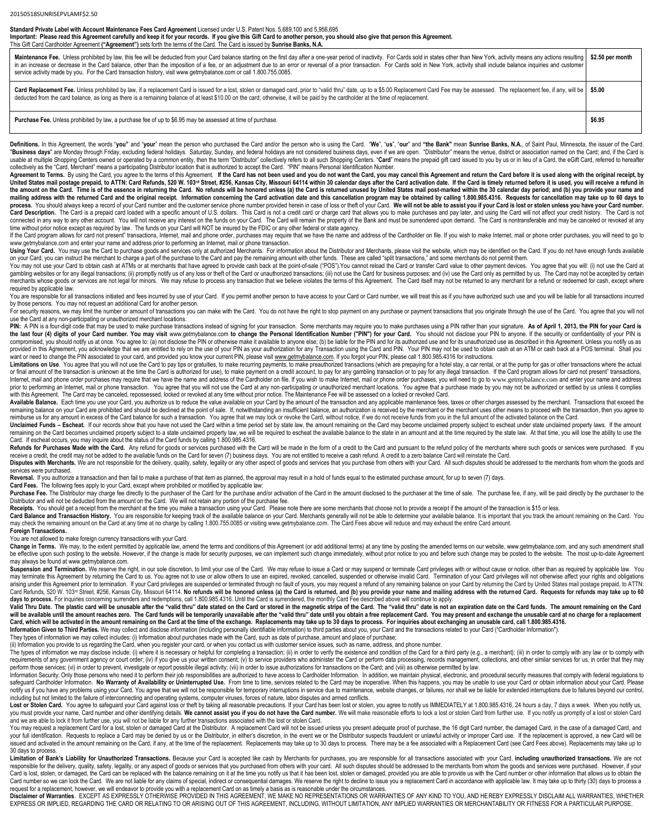**Standard Private Label with Account Maintenance Fees Card Agreement** Licensed under U.S. Patent Nos. 5,689,100 and 5,956,695

**Important: Please read this Agreement carefully and keep it for your records. If you give this Gift Card to another person, you should also give that person this Agreement.** This Gift Card Cardholder Agreement **("Agreement")** sets forth the terms of the Card. The Card is issued by **Sunrise Banks, N.A.**

| Maintenance Fee. Unless prohibited by law, this fee will be deducted from your Card balance starting on the first day after a one-year period of inactivity. For Cards sold in states other than New York, activity means any<br>in an increase or decrease in the Card balance, other than the imposition of a fee, or an adjustment due to an error or reversal of a prior transaction. For Cards sold in New York, activity shall include balance inquiries<br>service activity made by you. For the Card transaction history, visit www.getmybalance.com or call 1.800.755.0085. | \$2.50 per month |
|--------------------------------------------------------------------------------------------------------------------------------------------------------------------------------------------------------------------------------------------------------------------------------------------------------------------------------------------------------------------------------------------------------------------------------------------------------------------------------------------------------------------------------------------------------------------------------------|------------------|
| Card Replacement Fee. Unless prohibited by law, if a replacement Card is issued for a lost, stolen or damaged card, prior to "valid thru" date, up to a \$5.00 Replacement Card Fee may be assessed. The replacement fee, if an<br>deducted from the card balance, as long as there is a remaining balance of at least \$10.00 on the card; otherwise, it will be paid by the cardholder at the time of replacement.                                                                                                                                                                 |                  |
| <b>Purchase Fee.</b> Unless prohibited by law, a purchase fee of up to \$6.95 may be assessed at time of purchase.                                                                                                                                                                                                                                                                                                                                                                                                                                                                   | \$6.95           |

Definitions. In this Agreement, the words "you" and "your" mean the person who purchased the Card and/or the person who is using the Card. "We", "us", "our" and "the Bank" mean Sunrise Banks, N.A., of Saint Paul, Minnesota "Business days" are Monday through Friday, excluding federal holidays. Saturday, Sunday, and federal holidays are not considered business days, even if we are open. "Distributor" means the venue, district or association na usable at multiple Shopping Centers owned or operated by a common entity, then the term "Distributor" collectively refers to all such Shopping Centers. "Card" means the prepaid gift card issued to you by us or in lieu of a collectively as the "Card. Merchant" means a participating Distributor location that is authorized to accept the Card. "PIN" means Personal Identification Number.

Agreement to Terms. By using the Card, you agree to the terms of this Agreement. If the Card has not been used and you do not want the Card, you may cancel this Agreement and return the Card before it is used along with th United States mail postage prepaid, to ATTN: Card Refunds, 520 W. 103<sup>rd</sup> Street, #256, Kansas City, Missouri 64114 within 30 calendar days after the Card activation date. If the Card is timely returned before it is used, the amount on the Card. Time is of the essence in returning the Card. No refunds will be honored unless (a) the Card is returned unused by United States mail post-marked within the 30 calendar day period; and (b) you provi mailing address with the returned Card and the original receipt. Information concerning the Card activation date and this cancellation program may be obtained by calling 1.800.985.4316. Requests for cancellation may take u process. You should always keep a record of your Card number and the customer service phone number provided herein in case of loss or theft of your Card. We will not be able to assist you if your Card is lost or stolen unl Card Description. The Card is a prepaid card loaded with a specific amount of U.S. dollars. This Card is not a credit card or charge card that allows you to make purchases and pay later, and using the Card will not affect connected in any way to any other account. You will not receive any interest on the funds on your Card. The Card will remain the property of the Bank and must be surrendered upon demand. The Card is nontransferable and may time without prior notice except as required by law. The funds on your Card will NOT be insured by the FDIC or any other federal or state agency.

If the Card program allows for card not present" transactions, Internet, mail and phone order, purchases may require that we have the name and address of the Cardholder on file. If you wish to make Internet, mail or phone [www.getmybalance.com](http://www.getmybalance.com/) and enter your name and address prior to performing an Internet, mail or phone transaction.

Using Your Card. You may use the Card to purchase goods and services only at authorized Merchants. For information about the Distributor and Merchants, please visit the website, which may be identified on the Card. If you on your Card, you can instruct the merchant to charge a part of the purchase to the Card and pay the remaining amount with other funds. These are called "split transactions," and some merchants do not permit them.

You may not use your Card to obtain cash at ATMs or at merchants that have agreed to provide cash back at the point-of-sale ("POS"). You cannot reload the Card or transfer Card value to other payment devices. You agree tha gambling websites or for any illegal transactions; (ii) promptly notify us of any loss or theft of the Card or unauthorized transactions; (iii) not use the Card for business purposes; and (iv) use the Card only as permitte merchants whose goods or services are not legal for minors. We may refuse to process any transaction that we believe violates the terms of this Agreement. The Card itself may not be returned to any merchant for a refund or required by applicable law.

You are responsible for all transactions initiated and fees incurred by use of your Card. If you permit another person to have access to your Card or Card number, we will treat this as if you have authorized such use and y by those persons. You may not request an additional Card for another person.

For security reasons, we may limit the number or amount of transactions you can make with the Card. You do not have the right to stop payment on any purchase or payment transactions that you originate through the use of th use the Card at any non-participating or unauthorized merchant locations.

PIN: A PIN is a four-digit code that may be used to make purchase transactions instead of signing for your transaction. Some merchants may require you to make purchases using a PIN rather than your signature. As of April 1 the last four (4) digits of your Card number. You may visit [www.getmybalance.com](http://www.getmybalance.com/) to change the Personal Identification Number ("PIN") for your Card. You should not disclose your PIN to anyone. If the security or confidenti compromised, you should notify us at once. You agree to: (a) not disclose the PIN or otherwise make it available to anyone else; (b) be liable for the PIN and for its authorized use and for its unauthorized use as describe provided in this Agreement, you acknowledge that we are entitled to rely on the use of your PIN as your authorization for any Transaction using the Card and PIN. Your PIN may not be used to obtain cash at an ATM or cash ba want or need to change the PIN associated to your card, and provided you know your current PIN, please visit [www.getmybalance.com.](http://www.getmybalance.com/) If you forgot your PIN, please call 1.800.985.4316 for instructions.

Limitations on Use. You agree that you will not use the Card to pay tips or gratuities, to make recurring payments, to make preauthorized transactions (which are prepaying for a hotel stay, a car rental, or at the pump for or final amount of the transaction is unknown at the time the Card is authorized for use), to make payment on a credit account, to pay for any gambling transaction or to pay for any illegal transaction. If the Card program Internet, mail and phone order purchases may require that we have the name and address of the Cardholder on file. If you wish to make Internet, mail or phone order purchases, you will need to go to [www.getmybalance.com](http://www.getmybalance.com/) and prior to performing an Internet, mail or phone transaction. You agree that you will not use the Card at any non-participating or unauthorized merchant locations. You agree that a purchase made by you may not be authorized with this Agreement. The Card may be canceled, repossessed, locked or revoked at any time without prior notice. The Maintenance Fee will be assessed on a locked or revoked Card.

Available Balance. Each time you use your Card, you authorize us to reduce the value available on your Card by the amount of the transaction and any applicable maintenance fees, taxes or other charges assessed by the merch remaining balance on your Card are prohibited and should be declined at the point of sale. If, notwithstanding an insufficient balance, an authorization is received by the merchant or the merchant uses other means to proce reimburse us for any amount in excess of the Card balance for such a transaction. You agree that we may lock or revoke the Card, without notice, if we do not receive funds from you in the full amount of the activated balan

Unclaimed Funds - Escheat. If our records show that you have not used the Card within a time period set by state law, the amount remaining on the Card may become unclaimed property subject to escheat under state unclaimed remaining on the Card becomes unclaimed property subject to a state unclaimed property law, we will be required to escheat the available balance to the state in an amount and at the time required by the state law. At that Card. If escheat occurs, you may inquire about the status of the Card funds by calling 1.800.985.4316.

Refunds for Purchases Made with the Card. Any refund for goods or services purchased with the Card will be made in the form of a credit to the Card and pursuant to the refund policy of the merchants where such goods or ser receive a credit, the credit may not be added to the available funds on the Card for seven (7) business days. You are not entitled to receive a cash refund. A credit to a zero balance Card will reinstate the Card. Disputes with Merchants. We are not responsible for the delivery, quality, safety, legality or any other aspect of goods and services that you purchase from others with your Card. All such disputes should be addressed to t

services were purchased.

Reversal. If you authorize a transaction and then fail to make a purchase of that item as planned, the approval may result in a hold of funds equal to the estimated purchase amount, for up to seven (7) days.

**Card Fees.** The following fees apply to your Card, except where prohibited or modified by applicable law:

Purchase Fee. The Distributor may charge fee directly to the purchaser of the Card for the purchase and/or activation of the Card in the amount disclosed to the purchaser at the time of sale. The purchase fee, if any, will Distributor and will not be deducted from the amount on the Card. We will not retain any portion of the purchase fee.

Receipts. You should get a receipt from the merchant at the time you make a transaction using your Card. Please note there are some merchants that choose not to provide a receipt if the amount of the transaction is \$15 or

Card Balance and Transaction History. You are responsible for keeping track of the available balance on your Card. Merchants generally will not be able to determine your available balance. It is important that you track th may check the remaining amount on the Card at any time at no charge by calling 1.800.755.0085 or visiting www.getmybalance.com. The Card Fees above will reduce and may exhaust the entire Card amount.

**Foreign Transactions.** 

You are not allowed to make foreign currency transactions with your Card.

Change in Terms. We may, to the extent permitted by applicable law, amend the terms and conditions of this Agreement (or add additional terms) at any time by posting the amended terms on our website, www.getmybalance.com, be effective upon such posting to the website. However, if the change is made for security purposes, we can implement such change immediately, without prior notice to you and before such change may be posted to the website may always be found at www.getmybalance.com.

Suspension and Termination. We reserve the right, in our sole discretion, to limit your use of the Card. We may refuse to issue a Card or may suspend or terminate Card privileges with or without cause or notice, other than may terminate this Agreement by returning the Card to us. You agree not to use or allow others to use an expired, revoked, cancelled, suspended or otherwise invalid Card. Termination of your Card privileges will not otherw arising under this Agreement prior to termination. If your Card privileges are suspended or terminated through no fault of yours, you may request a refund of any remaining balance on your Card by returning the Card by Unit Card Refunds, 520 W. 103<sup>rd</sup> Street, #256, Kansas City, Missouri 64114. No refunds will be honored unless (a) the Card is returned, and (b) you provide your name and mailing address with the returned Card. Requests for ref days to process. For inquiries concerning surrenders and redemptions, call 1.800.985.4316. Until the Card is surrendered, the monthly Card Fee described above will continue to apply.

Valid Thru Date. The plastic card will be unusable after the "valid thru" date stated on the Card or stored in the magnetic stripe of the Card. The "valid thru" date is not an expiration date on the Card funds. The amount will be available until the amount reaches zero. The Card funds will be temporarily unavailable after the "valid thru" date until you obtain a free replacement Card. You may present and exchange the unusable card at no cha Card, which will be activated in the amount remaining on the Card at the time of the exchange. Replacements may take up to 30 days to process. For inquiries about exchanging an unusable card, call 1.800.985.4316. Information Given to Third Parties. We may collect and disclose information (including personally identifiable information) to third parties about you, your Card and the transactions related to your Card ("Cardholder Infor

They types of information we may collect includes: (i) Information about purchases made with the Card, such as date of purchase, amount and place of purchase;

(ii) Information you provide to us regarding the Card, when you register your card, or when you contact us with customer service issues, such as name, address, and phone number.

The types of information we may disclose include: (i) where it is necessary or helpful for completing a transaction; (ii) in order to verify the existence and condition of the Card for a third party (e.g., a merchant); (ii requirements of any government agency or court order; (iv) if you give us your written consent; (v) to service providers who administer the Card or perform data processing, records management, collections, and other simila perform those services; (vi) in order to prevent, investigate or report possible illegal activity; (vii) in order to issue authorizations for transactions on the Card; and (viii) as otherwise permitted by law.

Information Security: Only those persons who need it to perform their job responsibilities are authorized to have access to Cardholder Information. In addition, we maintain physical, electronic, and procedural security mea safeguard Cardholder Information. No Warranty of Availability or Uninterrupted Use. From time to time, services related to the Card may be inoperative. When this happens, you may be unable to use your Card or obtain inform notify us if you have any problems using your Card. You agree that we will not be responsible for temporary interruptions in service due to maintenance, website changes, or failures, nor shall we be liable for extended int including but not limited to the failure of interconnecting and operating systems, computer viruses, forces of nature, labor disputes and armed conflicts.

Lost or Stolen Card. You agree to safeguard your Card against loss or theft by taking all reasonable precautions. If your Card has been lost or stolen, you agree to notify us IMMEDIATELY at 1.800.985.4316, 24 hours a day, you must provide your name, Card number and other identifying details. We cannot assist you if you do not have the Card number. We will make reasonable efforts to lock a lost or stolen Card from further use. If you notify and we are able to lock it from further use, you will not be liable for any further transactions associated with the lost or stolen Card.

You may request a replacement Card for a lost, stolen or damaged Card at the Distributor. A replacement Card will not be issued unless you present adequate proof of purchase, the 16 digit Card number, the damaged Card, in your full identification. Requests to replace a Card may be denied by us or the Distributor, in either's discretion, in the event we or the Distributor suspects fraudulent or unlawful activity or improper Card use. If the issued and activated in the amount remaining on the Card, if any, at the time of the replacement. Replacements may take up to 30 days to process. There may be a fee associated with a Replacement Card (see Card Fees above). 30 days to process.

Limitation of Bank's Liability for Unauthorized Transactions. Because your Card is accepted like cash by Merchants for purchases, you are responsible for all transactions associated with your Card, including unauthorized t responsible for the delivery, quality, safety, legality, or any aspect of goods or services that you purchased from others with your card. All such disputes should be addressed to the merchants from whom the goods and serv Card is lost, stolen, or damaged, the Card can be replaced with the balance remaining on it at the time you notify us that it has been lost, stolen or damaged, provided you are able to provide us with the Card number or ot Card number so we can lock the Card. We are not liable for any claims of special, indirect or consequential damages. We reserve the right to decline to issue you a replacement Card in accordance with applicable law. It may request for a replacement, however, we will endeavor to provide you with a replacement Card on as timely a basis as is reasonable under the circumstances.

**Disclaimer of Warranties**. EXCEPT AS EXPRESSLY OTHERWISE PROVIDED IN THIS AGREEMENT, WE MAKE NO REPRESENTATIONS OR WARRANTIES OF ANY KIND TO YOU, AND HEREBY EXPRESSLY DISCLAIM ALL WARRANTIES, WHETHER EXPRESS OR IMPLIED, REGARDING THE CARD OR RELATING TO OR ARISING OUT OF THIS AGREEMENT, INCLUDING, WITHOUT LIMITATION, ANY IMPLIED WARRANTIES OR MERCHANTABILITY OR FITNESS FOR A PARTICULAR PURPOSE.